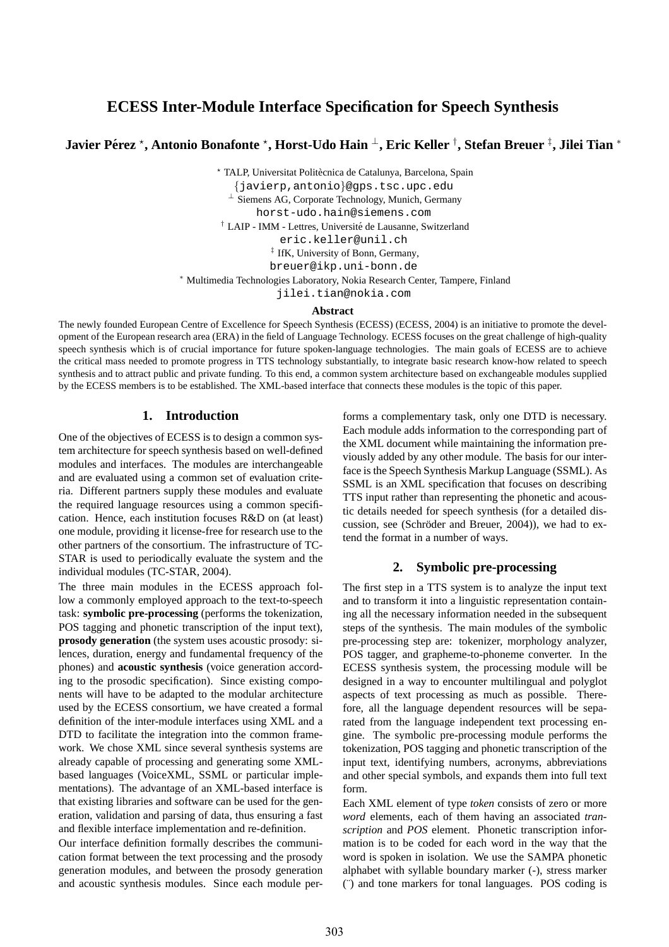# **ECESS Inter-Module Interface Specification for Speech Synthesis**

# **Javier Pérez \*, Antonio Bonafonte \*, Horst-Udo Hain <sup>⊥</sup>, Eric Keller <sup>†</sup>, Stefan Breuer <sup>‡</sup>, Jilei Tian \***

\* TALP, Universitat Politècnica de Catalunya, Barcelona, Spain

{javierp,antonio}@gps.tsc.upc.edu

<sup>⊥</sup> Siemens AG, Corporate Technology, Munich, Germany

horst-udo.hain@siemens.com

<sup>†</sup> LAIP - IMM - Lettres, Université de Lausanne, Switzerland

eric.keller@unil.ch

‡ IfK, University of Bonn, Germany,

breuer@ikp.uni-bonn.de

<sup>∗</sup> Multimedia Technologies Laboratory, Nokia Research Center, Tampere, Finland

jilei.tian@nokia.com

#### **Abstract**

The newly founded European Centre of Excellence for Speech Synthesis (ECESS) (ECESS, 2004) is an initiative to promote the development of the European research area (ERA) in the field of Language Technology. ECESS focuses on the great challenge of high-quality speech synthesis which is of crucial importance for future spoken-language technologies. The main goals of ECESS are to achieve the critical mass needed to promote progress in TTS technology substantially, to integrate basic research know-how related to speech synthesis and to attract public and private funding. To this end, a common system architecture based on exchangeable modules supplied by the ECESS members is to be established. The XML-based interface that connects these modules is the topic of this paper.

### **1. Introduction**

One of the objectives of ECESS is to design a common system architecture for speech synthesis based on well-defined modules and interfaces. The modules are interchangeable and are evaluated using a common set of evaluation criteria. Different partners supply these modules and evaluate the required language resources using a common specification. Hence, each institution focuses R&D on (at least) one module, providing it license-free for research use to the other partners of the consortium. The infrastructure of TC-STAR is used to periodically evaluate the system and the individual modules (TC-STAR, 2004).

The three main modules in the ECESS approach follow a commonly employed approach to the text-to-speech task: **symbolic pre-processing** (performs the tokenization, POS tagging and phonetic transcription of the input text), **prosody generation** (the system uses acoustic prosody: silences, duration, energy and fundamental frequency of the phones) and **acoustic synthesis** (voice generation according to the prosodic specification). Since existing components will have to be adapted to the modular architecture used by the ECESS consortium, we have created a formal definition of the inter-module interfaces using XML and a DTD to facilitate the integration into the common framework. We chose XML since several synthesis systems are already capable of processing and generating some XMLbased languages (VoiceXML, SSML or particular implementations). The advantage of an XML-based interface is that existing libraries and software can be used for the generation, validation and parsing of data, thus ensuring a fast and flexible interface implementation and re-definition.

Our interface definition formally describes the communication format between the text processing and the prosody generation modules, and between the prosody generation and acoustic synthesis modules. Since each module per-

forms a complementary task, only one DTD is necessary. Each module adds information to the corresponding part of the XML document while maintaining the information previously added by any other module. The basis for our interface is the Speech Synthesis Markup Language (SSML). As SSML is an XML specification that focuses on describing TTS input rather than representing the phonetic and acoustic details needed for speech synthesis (for a detailed discussion, see (Schröder and Breuer,  $2004$ )), we had to extend the format in a number of ways.

## **2. Symbolic pre-processing**

The first step in a TTS system is to analyze the input text and to transform it into a linguistic representation containing all the necessary information needed in the subsequent steps of the synthesis. The main modules of the symbolic pre-processing step are: tokenizer, morphology analyzer, POS tagger, and grapheme-to-phoneme converter. In the ECESS synthesis system, the processing module will be designed in a way to encounter multilingual and polyglot aspects of text processing as much as possible. Therefore, all the language dependent resources will be separated from the language independent text processing engine. The symbolic pre-processing module performs the tokenization, POS tagging and phonetic transcription of the input text, identifying numbers, acronyms, abbreviations and other special symbols, and expands them into full text form.

Each XML element of type *token* consists of zero or more *word* elements, each of them having an associated *transcription* and *POS* element. Phonetic transcription information is to be coded for each word in the way that the word is spoken in isolation. We use the SAMPA phonetic alphabet with syllable boundary marker (-), stress marker (¨) and tone markers for tonal languages. POS coding is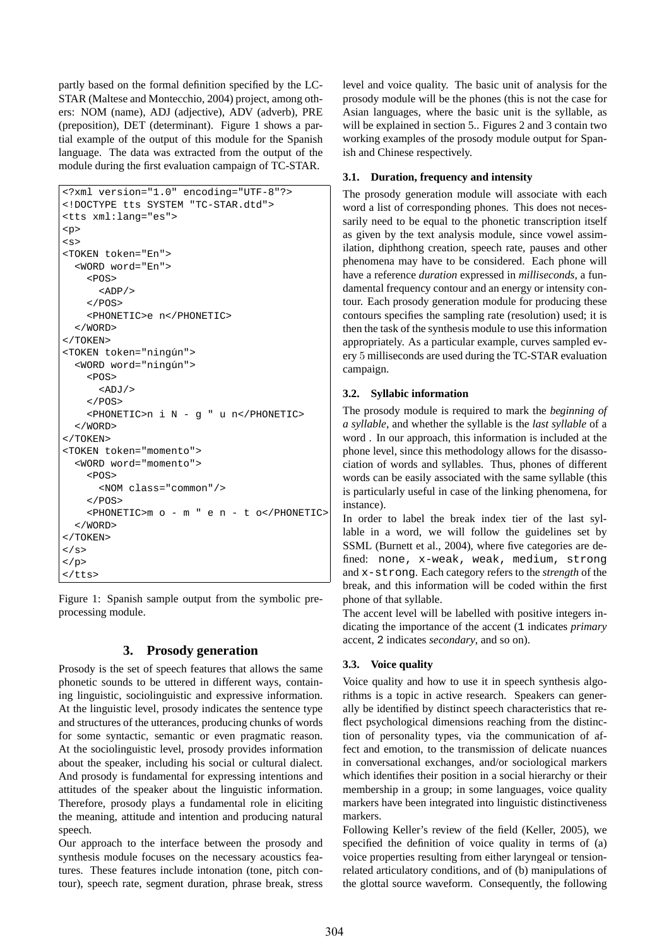partly based on the formal definition specified by the LC-STAR (Maltese and Montecchio, 2004) project, among others: NOM (name), ADJ (adjective), ADV (adverb), PRE (preposition), DET (determinant). Figure 1 shows a partial example of the output of this module for the Spanish language. The data was extracted from the output of the module during the first evaluation campaign of TC-STAR.

```
<?xml version="1.0" encoding="UTF-8"?>
<!DOCTYPE tts SYSTEM "TC-STAR.dtd">
<tts xml:lang="es">
<p>
\leqs>
<TOKEN token="En">
  <WORD word="En">
    <POS><ADP/</POS>
    <PHONETIC>e n</PHONETIC>
  </WORD>
</TOKEN>
<TOKEN token="ningún">
  <WORD word="ningún">
    <POS><ADJ/</POS>
    <PHONETIC>n i N - g " u n</PHONETIC>
  </WORD>
</TOKEN>
<TOKEN token="momento">
  <WORD word="momento">
    <POS><NOM class="common"/>
    \epsilon/DOS>
    <PHONETIC>m o - m " e n - t o</PHONETIC>
  </WORD>
</TOKEN>
\langle/s>
\langle/p>
\langletts>
```
Figure 1: Spanish sample output from the symbolic preprocessing module.

### **3. Prosody generation**

Prosody is the set of speech features that allows the same phonetic sounds to be uttered in different ways, containing linguistic, sociolinguistic and expressive information. At the linguistic level, prosody indicates the sentence type and structures of the utterances, producing chunks of words for some syntactic, semantic or even pragmatic reason. At the sociolinguistic level, prosody provides information about the speaker, including his social or cultural dialect. And prosody is fundamental for expressing intentions and attitudes of the speaker about the linguistic information. Therefore, prosody plays a fundamental role in eliciting the meaning, attitude and intention and producing natural speech.

Our approach to the interface between the prosody and synthesis module focuses on the necessary acoustics features. These features include intonation (tone, pitch contour), speech rate, segment duration, phrase break, stress level and voice quality. The basic unit of analysis for the prosody module will be the phones (this is not the case for Asian languages, where the basic unit is the syllable, as will be explained in section 5.. Figures 2 and 3 contain two working examples of the prosody module output for Spanish and Chinese respectively.

### **3.1. Duration, frequency and intensity**

The prosody generation module will associate with each word a list of corresponding phones. This does not necessarily need to be equal to the phonetic transcription itself as given by the text analysis module, since vowel assimilation, diphthong creation, speech rate, pauses and other phenomena may have to be considered. Each phone will have a reference *duration* expressed in *milliseconds*, a fundamental frequency contour and an energy or intensity contour. Each prosody generation module for producing these contours specifies the sampling rate (resolution) used; it is then the task of the synthesis module to use this information appropriately. As a particular example, curves sampled every 5 milliseconds are used during the TC-STAR evaluation campaign.

### **3.2. Syllabic information**

The prosody module is required to mark the *beginning of a syllable*, and whether the syllable is the *last syllable* of a word . In our approach, this information is included at the phone level, since this methodology allows for the disassociation of words and syllables. Thus, phones of different words can be easily associated with the same syllable (this is particularly useful in case of the linking phenomena, for instance).

In order to label the break index tier of the last syllable in a word, we will follow the guidelines set by SSML (Burnett et al., 2004), where five categories are defined: none, x-weak, weak, medium, strong and x-strong. Each category refers to the *strength* of the break, and this information will be coded within the first phone of that syllable.

The accent level will be labelled with positive integers indicating the importance of the accent (1 indicates *primary* accent, 2 indicates *secondary*, and so on).

## **3.3. Voice quality**

Voice quality and how to use it in speech synthesis algorithms is a topic in active research. Speakers can generally be identified by distinct speech characteristics that reflect psychological dimensions reaching from the distinction of personality types, via the communication of affect and emotion, to the transmission of delicate nuances in conversational exchanges, and/or sociological markers which identifies their position in a social hierarchy or their membership in a group; in some languages, voice quality markers have been integrated into linguistic distinctiveness markers.

Following Keller's review of the field (Keller, 2005), we specified the definition of voice quality in terms of (a) voice properties resulting from either laryngeal or tensionrelated articulatory conditions, and of (b) manipulations of the glottal source waveform. Consequently, the following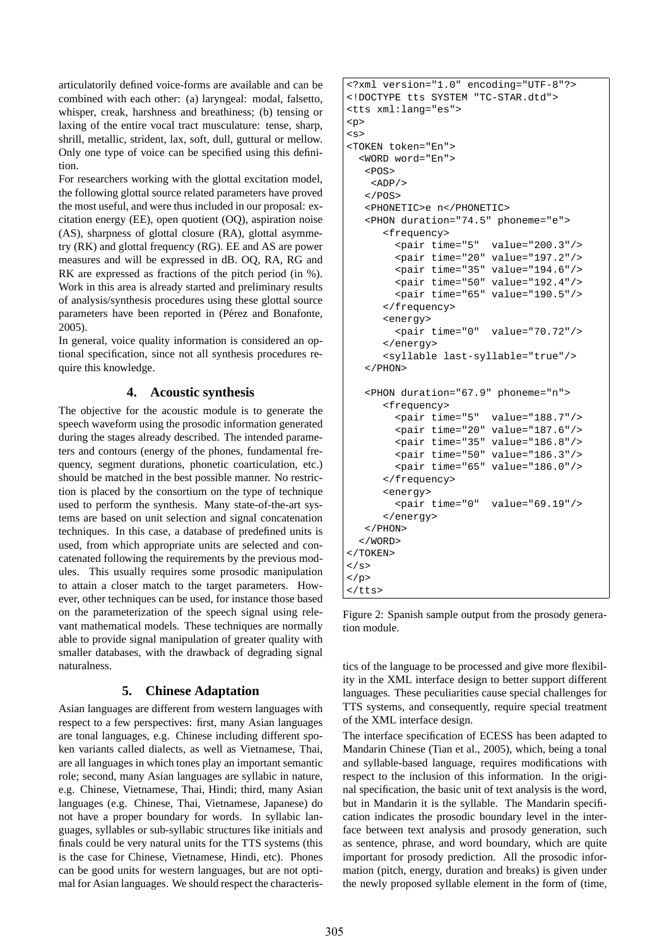articulatorily defined voice-forms are available and can be combined with each other: (a) laryngeal: modal, falsetto, whisper, creak, harshness and breathiness; (b) tensing or laxing of the entire vocal tract musculature: tense, sharp, shrill, metallic, strident, lax, soft, dull, guttural or mellow. Only one type of voice can be specified using this definition.

For researchers working with the glottal excitation model, the following glottal source related parameters have proved the most useful, and were thus included in our proposal: excitation energy (EE), open quotient (OQ), aspiration noise (AS), sharpness of glottal closure (RA), glottal asymmetry (RK) and glottal frequency (RG). EE and AS are power measures and will be expressed in dB. OQ, RA, RG and RK are expressed as fractions of the pitch period (in %). Work in this area is already started and preliminary results of analysis/synthesis procedures using these glottal source parameters have been reported in (Pérez and Bonafonte, 2005).

In general, voice quality information is considered an optional specification, since not all synthesis procedures require this knowledge.

## **4. Acoustic synthesis**

The objective for the acoustic module is to generate the speech waveform using the prosodic information generated during the stages already described. The intended parameters and contours (energy of the phones, fundamental frequency, segment durations, phonetic coarticulation, etc.) should be matched in the best possible manner. No restriction is placed by the consortium on the type of technique used to perform the synthesis. Many state-of-the-art systems are based on unit selection and signal concatenation techniques. In this case, a database of predefined units is used, from which appropriate units are selected and concatenated following the requirements by the previous modules. This usually requires some prosodic manipulation to attain a closer match to the target parameters. However, other techniques can be used, for instance those based on the parameterization of the speech signal using relevant mathematical models. These techniques are normally able to provide signal manipulation of greater quality with smaller databases, with the drawback of degrading signal naturalness.

## **5. Chinese Adaptation**

Asian languages are different from western languages with respect to a few perspectives: first, many Asian languages are tonal languages, e.g. Chinese including different spoken variants called dialects, as well as Vietnamese, Thai, are all languages in which tones play an important semantic role; second, many Asian languages are syllabic in nature, e.g. Chinese, Vietnamese, Thai, Hindi; third, many Asian languages (e.g. Chinese, Thai, Vietnamese, Japanese) do not have a proper boundary for words. In syllabic languages, syllables or sub-syllabic structures like initials and finals could be very natural units for the TTS systems (this is the case for Chinese, Vietnamese, Hindi, etc). Phones can be good units for western languages, but are not optimal for Asian languages. We should respect the characteris-

```
<?xml version="1.0" encoding="UTF-8"?>
<!DOCTYPE tts SYSTEM "TC-STAR.dtd">
<tts xml:lang="es">
<p>
<s>
<TOKEN token="En">
  <WORD word="En">
   POS<ADP/\langle/POS>
   <PHONETIC>e n</PHONETIC>
   <PHON duration="74.5" phoneme="e">
      <frequency>
        <pair time="5" value="200.3"/>
        <pair time="20" value="197.2"/>
        <pair time="35" value="194.6"/>
        -<br><pair time="50" value="192.4"/>
        <pair time="65" value="190.5"/>
      </frequency>
      <energy>
        <pair time="0" value="70.72"/>
      </energy>
      <syllable last-syllable="true"/>
   </PHON>
   <PHON duration="67.9" phoneme="n">
      <frequency>
        <pair time="5" value="188.7"/>
        <pair time="20" value="187.6"/>
        <pair time="35" value="186.8"/>
        <pair time="50" value="186.3"/>
        <pair time="65" value="186.0"/>
      </frequency>
      <energy>
        <pair time="0" value="69.19"/>
      </energy>
   </PHON>
  </WORD>
</TOKEN>
\langle/s>
\langle/p>
\langletts>
```
Figure 2: Spanish sample output from the prosody generation module.

tics of the language to be processed and give more flexibility in the XML interface design to better support different languages. These peculiarities cause special challenges for TTS systems, and consequently, require special treatment of the XML interface design.

The interface specification of ECESS has been adapted to Mandarin Chinese (Tian et al., 2005), which, being a tonal and syllable-based language, requires modifications with respect to the inclusion of this information. In the original specification, the basic unit of text analysis is the word, but in Mandarin it is the syllable. The Mandarin specification indicates the prosodic boundary level in the interface between text analysis and prosody generation, such as sentence, phrase, and word boundary, which are quite important for prosody prediction. All the prosodic information (pitch, energy, duration and breaks) is given under the newly proposed syllable element in the form of (time,